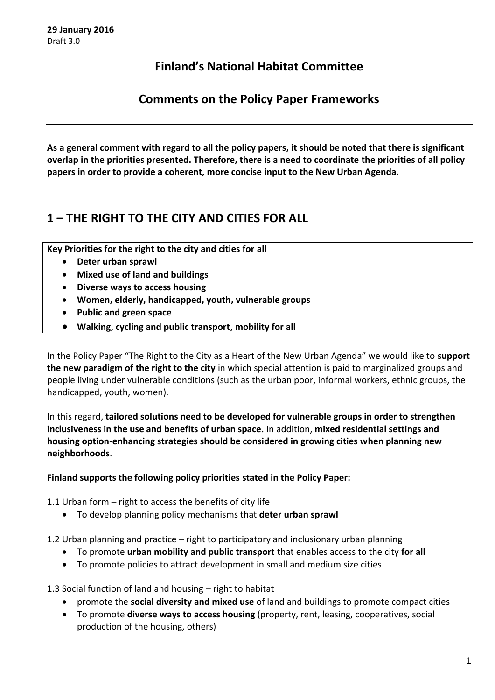## **Finland's National Habitat Committee**

**Comments on the Policy Paper Frameworks**

**As a general comment with regard to all the policy papers, it should be noted that there is significant overlap in the priorities presented. Therefore, there is a need to coordinate the priorities of all policy papers in order to provide a coherent, more concise input to the New Urban Agenda.**

# **1 – THE RIGHT TO THE CITY AND CITIES FOR ALL**

**Key Priorities for the right to the city and cities for all**

- **Deter urban sprawl**
- **Mixed use of land and buildings**
- **Diverse ways to access housing**
- **Women, elderly, handicapped, youth, vulnerable groups**
- **Public and green space**
- **Walking, cycling and public transport, mobility for all**

In the Policy Paper "The Right to the City as a Heart of the New Urban Agenda" we would like to **support the new paradigm of the right to the city** in which special attention is paid to marginalized groups and people living under vulnerable conditions (such as the urban poor, informal workers, ethnic groups, the handicapped, youth, women).

In this regard, **tailored solutions need to be developed for vulnerable groups in order to strengthen inclusiveness in the use and benefits of urban space.** In addition, **mixed residential settings and housing option-enhancing strategies should be considered in growing cities when planning new neighborhoods**.

**Finland supports the following policy priorities stated in the Policy Paper:**

1.1 Urban form – right to access the benefits of city life

To develop planning policy mechanisms that **deter urban sprawl**

1.2 Urban planning and practice – right to participatory and inclusionary urban planning

- To promote **urban mobility and public transport** that enables access to the city **for all**
- To promote policies to attract development in small and medium size cities

1.3 Social function of land and housing – right to habitat

- promote the **social diversity and mixed use** of land and buildings to promote compact cities
- To promote **diverse ways to access housing** (property, rent, leasing, cooperatives, social production of the housing, others)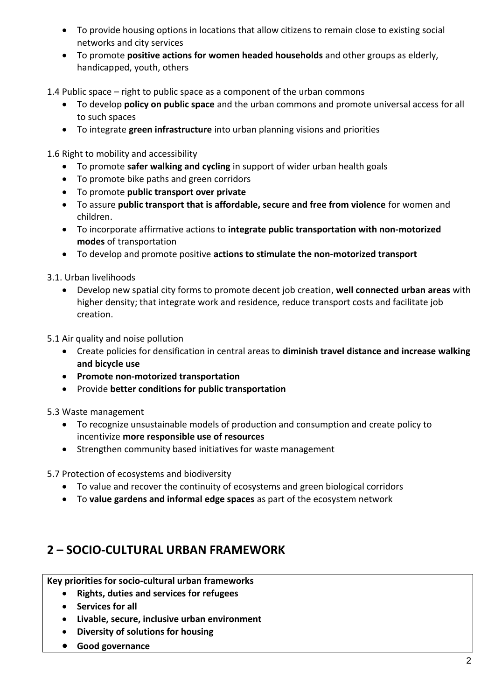- To provide housing options in locations that allow citizens to remain close to existing social networks and city services
- To promote **positive actions for women headed households** and other groups as elderly, handicapped, youth, others

1.4 Public space – right to public space as a component of the urban commons

- To develop **policy on public space** and the urban commons and promote universal access for all to such spaces
- To integrate **green infrastructure** into urban planning visions and priorities

1.6 Right to mobility and accessibility

- To promote **safer walking and cycling** in support of wider urban health goals
- To promote bike paths and green corridors
- To promote **public transport over private**
- To assure **public transport that is affordable, secure and free from violence** for women and children.
- To incorporate affirmative actions to **integrate public transportation with non‐motorized modes** of transportation
- To develop and promote positive **actions to stimulate the non‐motorized transport**

3.1. Urban livelihoods

- Develop new spatial city forms to promote decent job creation, **well connected urban areas** with higher density; that integrate work and residence, reduce transport costs and facilitate job creation.
- 5.1 Air quality and noise pollution
	- Create policies for densification in central areas to **diminish travel distance and increase walking and bicycle use**
	- **Promote non‐motorized transportation**
	- Provide **better conditions for public transportation**

5.3 Waste management

- To recognize unsustainable models of production and consumption and create policy to incentivize **more responsible use of resources**
- Strengthen community based initiatives for waste management

5.7 Protection of ecosystems and biodiversity

- To value and recover the continuity of ecosystems and green biological corridors
- To **value gardens and informal edge spaces** as part of the ecosystem network

## **2 – SOCIO-CULTURAL URBAN FRAMEWORK**

**Key priorities for socio-cultural urban frameworks**

- **Rights, duties and services for refugees**
- **•** Services for all
- **Livable, secure, inclusive urban environment**
- **Diversity of solutions for housing**
- **Good governance**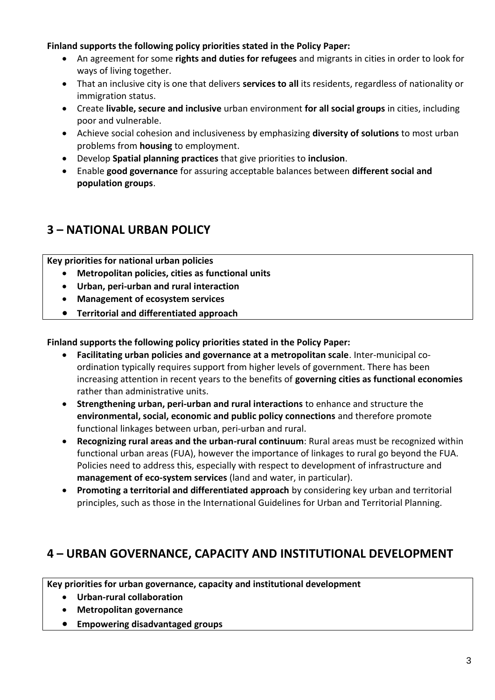### **Finland supports the following policy priorities stated in the Policy Paper:**

- An agreement for some **rights and duties for refugees** and migrants in cities in order to look for ways of living together.
- That an inclusive city is one that delivers **services to all** its residents, regardless of nationality or immigration status.
- Create **livable, secure and inclusive** urban environment **for all social groups** in cities, including poor and vulnerable.
- Achieve social cohesion and inclusiveness by emphasizing **diversity of solutions** to most urban problems from **housing** to employment.
- Develop **Spatial planning practices** that give priorities to **inclusion**.
- Enable **good governance** for assuring acceptable balances between **different social and population groups**.

## **3 – NATIONAL URBAN POLICY**

**Key priorities for national urban policies**

- **Metropolitan policies, cities as functional units**
- **Urban, peri-urban and rural interaction**
- **Management of ecosystem services**
- **Territorial and differentiated approach**

#### **Finland supports the following policy priorities stated in the Policy Paper:**

- **Facilitating urban policies and governance at a metropolitan scale**. Inter‐municipal co‐ ordination typically requires support from higher levels of government. There has been increasing attention in recent years to the benefits of **governing cities as functional economies**  rather than administrative units.
- **Strengthening urban, peri-urban and rural interactions** to enhance and structure the **environmental, social, economic and public policy connections** and therefore promote functional linkages between urban, peri‐urban and rural.
- **Recognizing rural areas and the urban‐rural continuum**: Rural areas must be recognized within functional urban areas (FUA), however the importance of linkages to rural go beyond the FUA. Policies need to address this, especially with respect to development of infrastructure and **management of eco‐system services** (land and water, in particular).
- **Promoting a territorial and differentiated approach** by considering key urban and territorial principles, such as those in the International Guidelines for Urban and Territorial Planning.

## **4 – URBAN GOVERNANCE, CAPACITY AND INSTITUTIONAL DEVELOPMENT**

**Key priorities for urban governance, capacity and institutional development**

- **Urban-rural collaboration**
- **Metropolitan governance**
- **Empowering disadvantaged groups**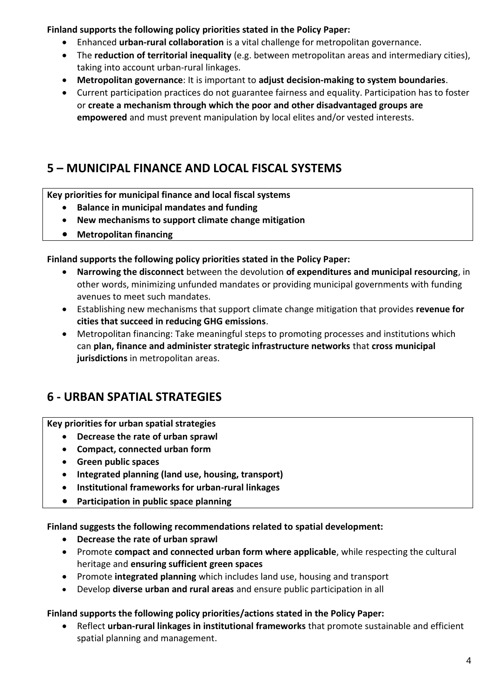**Finland supports the following policy priorities stated in the Policy Paper:**

- Enhanced **urban‐rural collaboration** is a vital challenge for metropolitan governance.
- The **reduction of territorial inequality** (e.g. between metropolitan areas and intermediary cities), taking into account urban‐rural linkages.
- **Metropolitan governance**: It is important to **adjust decision‐making to system boundaries**.
- Current participation practices do not guarantee fairness and equality. Participation has to foster or **create a mechanism through which the poor and other disadvantaged groups are empowered** and must prevent manipulation by local elites and/or vested interests.

# **5 – MUNICIPAL FINANCE AND LOCAL FISCAL SYSTEMS**

## **Key priorities for municipal finance and local fiscal systems**

- **Balance in municipal mandates and funding**
- **New mechanisms to support climate change mitigation**
- **Metropolitan financing**

## **Finland supports the following policy priorities stated in the Policy Paper:**

- **Narrowing the disconnect** between the devolution **of expenditures and municipal resourcing**, in other words, minimizing unfunded mandates or providing municipal governments with funding avenues to meet such mandates.
- Establishing new mechanisms that support climate change mitigation that provides **revenue for cities that succeed in reducing GHG emissions**.
- Metropolitan financing: Take meaningful steps to promoting processes and institutions which can **plan, finance and administer strategic infrastructure networks** that **cross municipal jurisdictions** in metropolitan areas.

# **6 - URBAN SPATIAL STRATEGIES**

## **Key priorities for urban spatial strategies**

- **Decrease the rate of urban sprawl**
- **Compact, connected urban form**
- **Green public spaces**
- **Integrated planning (land use, housing, transport)**
- **Institutional frameworks for urban-rural linkages**
- **Participation in public space planning**

## **Finland suggests the following recommendations related to spatial development:**

- **Decrease the rate of urban sprawl**
- Promote **compact and connected urban form where applicable**, while respecting the cultural heritage and **ensuring sufficient green spaces**
- Promote **integrated planning** which includes land use, housing and transport
- Develop **diverse urban and rural areas** and ensure public participation in all

## **Finland supports the following policy priorities/actions stated in the Policy Paper:**

 Reflect **urban-rural linkages in institutional frameworks** that promote sustainable and efficient spatial planning and management.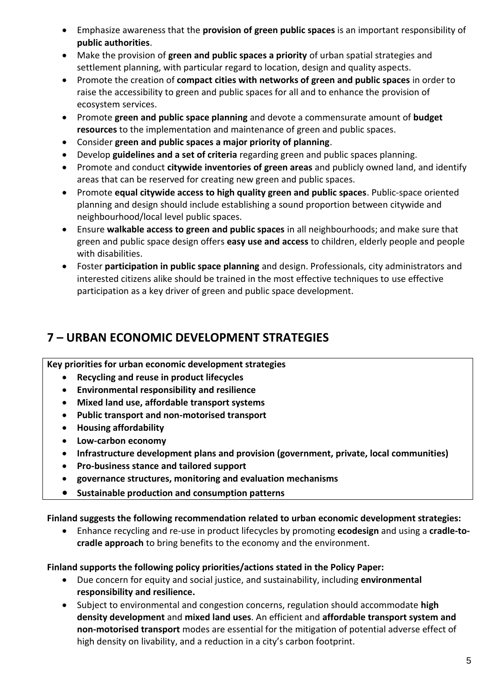- Emphasize awareness that the **provision of green public spaces** is an important responsibility of **public authorities**.
- Make the provision of **green and public spaces a priority** of urban spatial strategies and settlement planning, with particular regard to location, design and quality aspects.
- Promote the creation of **compact cities with networks of green and public spaces** in order to raise the accessibility to green and public spaces for all and to enhance the provision of ecosystem services.
- Promote **green and public space planning** and devote a commensurate amount of **budget resources** to the implementation and maintenance of green and public spaces.
- Consider **green and public spaces a major priority of planning**.
- Develop **guidelines and a set of criteria** regarding green and public spaces planning.
- Promote and conduct **citywide inventories of green areas** and publicly owned land, and identify areas that can be reserved for creating new green and public spaces.
- Promote **equal citywide access to high quality green and public spaces**. Public-space oriented planning and design should include establishing a sound proportion between citywide and neighbourhood/local level public spaces.
- Ensure **walkable access to green and public spaces** in all neighbourhoods; and make sure that green and public space design offers **easy use and access** to children, elderly people and people with disabilities.
- Foster **participation in public space planning** and design. Professionals, city administrators and interested citizens alike should be trained in the most effective techniques to use effective participation as a key driver of green and public space development.

# **7 – URBAN ECONOMIC DEVELOPMENT STRATEGIES**

## **Key priorities for urban economic development strategies**

- **Recycling and reuse in product lifecycles**
- **Environmental responsibility and resilience**
- **Mixed land use, affordable transport systems**
- **Public transport and non-motorised transport**
- **Housing affordability**
- **Low-carbon economy**
- **Infrastructure development plans and provision (government, private, local communities)**
- **Pro-business stance and tailored support**
- **governance structures, monitoring and evaluation mechanisms**
- **Sustainable production and consumption patterns**

#### **Finland suggests the following recommendation related to urban economic development strategies:**

 Enhance recycling and re-use in product lifecycles by promoting **ecodesign** and using a **cradle-tocradle approach** to bring benefits to the economy and the environment.

#### **Finland supports the following policy priorities/actions stated in the Policy Paper:**

- Due concern for equity and social justice, and sustainability, including **environmental responsibility and resilience.**
- Subject to environmental and congestion concerns, regulation should accommodate **high density development** and **mixed land uses**. An efficient and **affordable transport system and non‐motorised transport** modes are essential for the mitigation of potential adverse effect of high density on livability, and a reduction in a city's carbon footprint.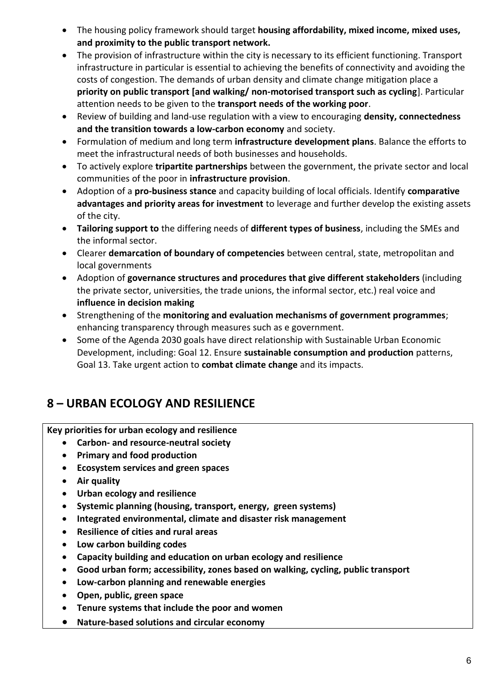- The housing policy framework should target **housing affordability, mixed income, mixed uses, and proximity to the public transport network.**
- The provision of infrastructure within the city is necessary to its efficient functioning. Transport infrastructure in particular is essential to achieving the benefits of connectivity and avoiding the costs of congestion. The demands of urban density and climate change mitigation place a **priority on public transport [and walking/ non‐motorised transport such as cycling**]. Particular attention needs to be given to the **transport needs of the working poor**.
- Review of building and land‐use regulation with a view to encouraging **density, connectedness and the transition towards a low‐carbon economy** and society.
- Formulation of medium and long term **infrastructure development plans**. Balance the efforts to meet the infrastructural needs of both businesses and households.
- To actively explore **tripartite partnerships** between the government, the private sector and local communities of the poor in **infrastructure provision**.
- Adoption of a **pro-business stance** and capacity building of local officials. Identify **comparative advantages and priority areas for investment** to leverage and further develop the existing assets of the city.
- **Tailoring support to** the differing needs of **different types of business**, including the SMEs and the informal sector.
- Clearer **demarcation of boundary of competencies** between central, state, metropolitan and local governments
- Adoption of **governance structures and procedures that give different stakeholders** (including the private sector, universities, the trade unions, the informal sector, etc.) real voice and **influence in decision making**
- Strengthening of the **monitoring and evaluation mechanisms of government programmes**; enhancing transparency through measures such as e government.
- Some of the Agenda 2030 goals have direct relationship with Sustainable Urban Economic Development, including: Goal 12. Ensure **sustainable consumption and production** patterns, Goal 13. Take urgent action to **combat climate change** and its impacts.

# **8 – URBAN ECOLOGY AND RESILIENCE**

**Key priorities for urban ecology and resilience**

- **Carbon- and resource-neutral society**
- **Primary and food production**
- **Ecosystem services and green spaces**
- **Air quality**
- **Urban ecology and resilience**
- **Systemic planning (housing, transport, energy, green systems)**
- **Integrated environmental, climate and disaster risk management**
- **Resilience of cities and rural areas**
- **Low carbon building codes**
- **Capacity building and education on urban ecology and resilience**
- **Good urban form; accessibility, zones based on walking, cycling, public transport**
- **Low-carbon planning and renewable energies**
- **Open, public, green space**
- **Tenure systems that include the poor and women**
- **Nature-based solutions and circular economy**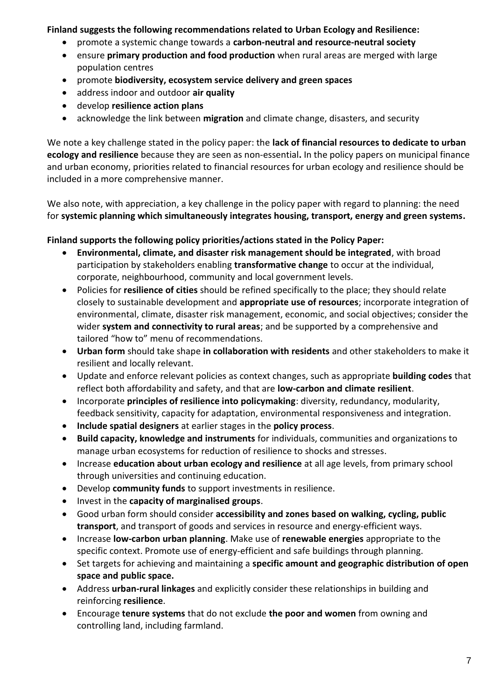### **Finland suggests the following recommendations related to Urban Ecology and Resilience:**

- promote a systemic change towards a **carbon-neutral and resource-neutral society**
- ensure **primary production and food production** when rural areas are merged with large population centres
- promote **biodiversity, ecosystem service delivery and green spaces**
- address indoor and outdoor **air quality**
- develop **resilience action plans**
- acknowledge the link between **migration** and climate change, disasters, and security

We note a key challenge stated in the policy paper: the **lack of financial resources to dedicate to urban ecology and resilience** because they are seen as non‐essential**.** In the policy papers on municipal finance and urban economy, priorities related to financial resources for urban ecology and resilience should be included in a more comprehensive manner.

We also note, with appreciation, a key challenge in the policy paper with regard to planning: the need for **systemic planning which simultaneously integrates housing, transport, energy and green systems.**

### **Finland supports the following policy priorities/actions stated in the Policy Paper:**

- **Environmental, climate, and disaster risk management should be integrated**, with broad participation by stakeholders enabling **transformative change** to occur at the individual, corporate, neighbourhood, community and local government levels.
- Policies for **resilience of cities** should be refined specifically to the place; they should relate closely to sustainable development and **appropriate use of resources**; incorporate integration of environmental, climate, disaster risk management, economic, and social objectives; consider the wider **system and connectivity to rural areas**; and be supported by a comprehensive and tailored "how to" menu of recommendations.
- **Urban form** should take shape **in collaboration with residents** and other stakeholders to make it resilient and locally relevant.
- Update and enforce relevant policies as context changes, such as appropriate **building codes** that reflect both affordability and safety, and that are **low‐carbon and climate resilient**.
- Incorporate **principles of resilience into policymaking**: diversity, redundancy, modularity, feedback sensitivity, capacity for adaptation, environmental responsiveness and integration.
- **Include spatial designers** at earlier stages in the **policy process**.
- **Build capacity, knowledge and instruments** for individuals, communities and organizations to manage urban ecosystems for reduction of resilience to shocks and stresses.
- Increase **education about urban ecology and resilience** at all age levels, from primary school through universities and continuing education.
- Develop **community funds** to support investments in resilience.
- Invest in the **capacity of marginalised groups**.
- Good urban form should consider **accessibility and zones based on walking, cycling, public**  transport, and transport of goods and services in resource and energy-efficient ways.
- Increase **low‐carbon urban planning**. Make use of **renewable energies** appropriate to the specific context. Promote use of energy-efficient and safe buildings through planning.
- Set targets for achieving and maintaining a **specific amount and geographic distribution of open space and public space.**
- Address **urban‐rural linkages** and explicitly consider these relationships in building and reinforcing **resilience**.
- Encourage **tenure systems** that do not exclude **the poor and women** from owning and controlling land, including farmland.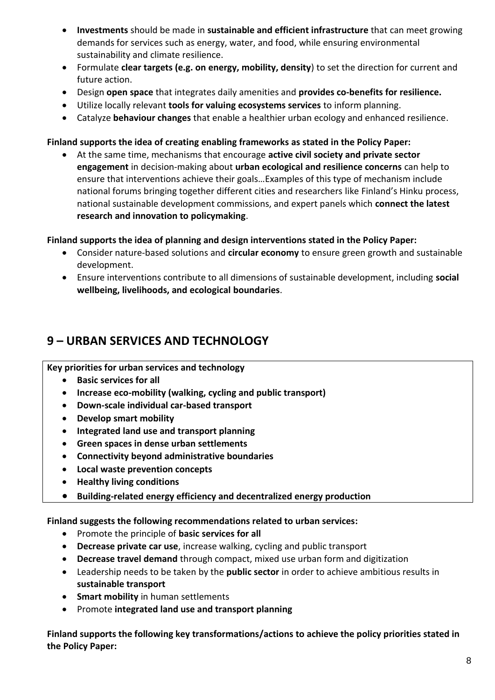- **Investments** should be made in **sustainable and efficient infrastructure** that can meet growing demands for services such as energy, water, and food, while ensuring environmental sustainability and climate resilience.
- Formulate **clear targets (e.g. on energy, mobility, density**) to set the direction for current and future action.
- Design open space that integrates daily amenities and provides co-benefits for resilience.
- Utilize locally relevant **tools for valuing ecosystems services** to inform planning.
- Catalyze **behaviour changes** that enable a healthier urban ecology and enhanced resilience.

#### **Finland supports the idea of creating enabling frameworks as stated in the Policy Paper:**

 At the same time, mechanisms that encourage **active civil society and private sector engagement** in decision‐making about **urban ecological and resilience concerns** can help to ensure that interventions achieve their goals…Examples of this type of mechanism include national forums bringing together different cities and researchers like Finland's Hinku process, national sustainable development commissions, and expert panels which **connect the latest research and innovation to policymaking**.

#### **Finland supports the idea of planning and design interventions stated in the Policy Paper:**

- Consider nature‐based solutions and **circular economy** to ensure green growth and sustainable development.
- Ensure interventions contribute to all dimensions of sustainable development, including **social wellbeing, livelihoods, and ecological boundaries**.

## **9 – URBAN SERVICES AND TECHNOLOGY**

#### **Key priorities for urban services and technology**

- **•** Basic services for all
- **Increase eco-mobility (walking, cycling and public transport)**
- **Down-scale individual car-based transport**
- **Develop smart mobility**
- **Integrated land use and transport planning**
- **Green spaces in dense urban settlements**
- **Connectivity beyond administrative boundaries**
- **Local waste prevention concepts**
- **Healthy living conditions**
- **Building-related energy efficiency and decentralized energy production**

**Finland suggests the following recommendations related to urban services:**

- Promote the principle of **basic services for all**
- **Decrease private car use**, increase walking, cycling and public transport
- **Decrease travel demand** through compact, mixed use urban form and digitization
- Leadership needs to be taken by the **public sector** in order to achieve ambitious results in **sustainable transport**
- **Smart mobility** in human settlements
- Promote **integrated land use and transport planning**

**Finland supports the following key transformations/actions to achieve the policy priorities stated in the Policy Paper:**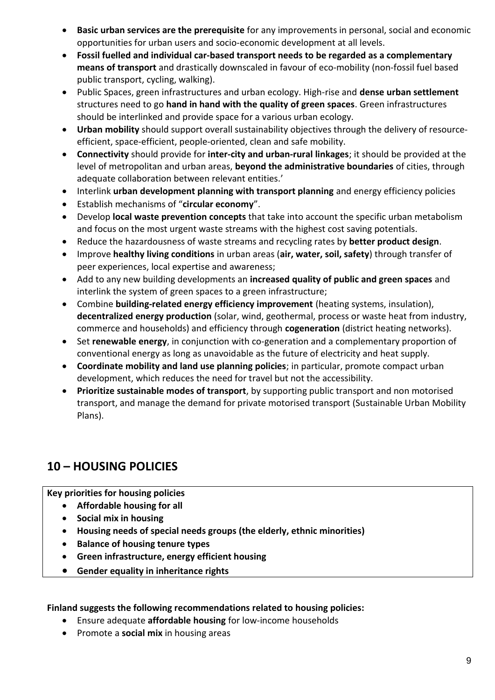- **Basic urban services are the prerequisite** for any improvements in personal, social and economic opportunities for urban users and socio‐economic development at all levels.
- **Fossil fuelled and individual car‐based transport needs to be regarded as a complementary**  means of transport and drastically downscaled in favour of eco-mobility (non-fossil fuel based public transport, cycling, walking).
- Public Spaces, green infrastructures and urban ecology. High‐rise and **dense urban settlement** structures need to go **hand in hand with the quality of green spaces**. Green infrastructures should be interlinked and provide space for a various urban ecology.
- **Urban mobility** should support overall sustainability objectives through the delivery of resource‐ efficient, space‐efficient, people‐oriented, clean and safe mobility.
- **Connectivity** should provide for **inter‐city and urban‐rural linkages**; it should be provided at the level of metropolitan and urban areas, **beyond the administrative boundaries** of cities, through adequate collaboration between relevant entities.'
- Interlink **urban development planning with transport planning** and energy efficiency policies
- Establish mechanisms of "**circular economy**".
- Develop **local waste prevention concepts** that take into account the specific urban metabolism and focus on the most urgent waste streams with the highest cost saving potentials.
- Reduce the hazardousness of waste streams and recycling rates by **better product design**.
- Improve **healthy living conditions** in urban areas (**air, water, soil, safety**) through transfer of peer experiences, local expertise and awareness;
- Add to any new building developments an **increased quality of public and green spaces** and interlink the system of green spaces to a green infrastructure;
- Combine **building‐related energy efficiency improvement** (heating systems, insulation), **decentralized energy production** (solar, wind, geothermal, process or waste heat from industry, commerce and households) and efficiency through **cogeneration** (district heating networks).
- Set **renewable energy**, in conjunction with co-generation and a complementary proportion of conventional energy as long as unavoidable as the future of electricity and heat supply.
- **Coordinate mobility and land use planning policies**; in particular, promote compact urban development, which reduces the need for travel but not the accessibility.
- **Prioritize sustainable modes of transport**, by supporting public transport and non motorised transport, and manage the demand for private motorised transport (Sustainable Urban Mobility Plans).

# **10 – HOUSING POLICIES**

**Key priorities for housing policies**

- **Affordable housing for all**
- **•** Social mix in housing
- **Housing needs of special needs groups (the elderly, ethnic minorities)**
- **•** Balance of housing tenure types
- **Green infrastructure, energy efficient housing**
- **Gender equality in inheritance rights**

#### **Finland suggests the following recommendations related to housing policies:**

- Ensure adequate **affordable housing** for low-income households
- **•** Promote a **social mix** in housing areas